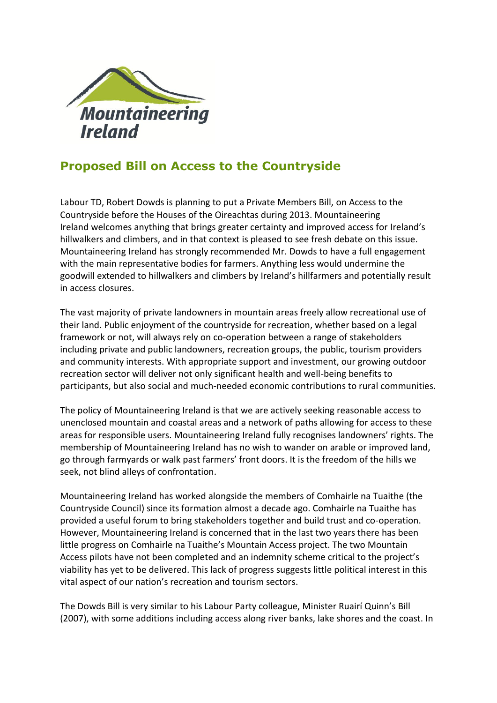

## **Proposed Bill on Access to the Countryside**

Labour TD, Robert Dowds is planning to put a Private Members Bill, on Access to the Countryside before the Houses of the Oireachtas during 2013. Mountaineering Ireland welcomes anything that brings greater certainty and improved access for Ireland's hillwalkers and climbers, and in that context is pleased to see fresh debate on this issue. Mountaineering Ireland has strongly recommended Mr. Dowds to have a full engagement with the main representative bodies for farmers. Anything less would undermine the goodwill extended to hillwalkers and climbers by Ireland's hillfarmers and potentially result in access closures.

The vast majority of private landowners in mountain areas freely allow recreational use of their land. Public enjoyment of the countryside for recreation, whether based on a legal framework or not, will always rely on co-operation between a range of stakeholders including private and public landowners, recreation groups, the public, tourism providers and community interests. With appropriate support and investment, our growing outdoor recreation sector will deliver not only significant health and well-being benefits to participants, but also social and much-needed economic contributions to rural communities.

The policy of Mountaineering Ireland is that we are actively seeking reasonable access to unenclosed mountain and coastal areas and a network of paths allowing for access to these areas for responsible users. Mountaineering Ireland fully recognises landowners' rights. The membership of Mountaineering Ireland has no wish to wander on arable or improved land, go through farmyards or walk past farmers' front doors. It is the freedom of the hills we seek, not blind alleys of confrontation.

Mountaineering Ireland has worked alongside the members of Comhairle na Tuaithe (the Countryside Council) since its formation almost a decade ago. Comhairle na Tuaithe has provided a useful forum to bring stakeholders together and build trust and co-operation. However, Mountaineering Ireland is concerned that in the last two years there has been little progress on Comhairle na Tuaithe's Mountain Access project. The two Mountain Access pilots have not been completed and an indemnity scheme critical to the project's viability has yet to be delivered. This lack of progress suggests little political interest in this vital aspect of our nation's recreation and tourism sectors.

The Dowds Bill is very similar to his Labour Party colleague, Minister Ruairí Quinn's Bill (2007), with some additions including access along river banks, lake shores and the coast. In